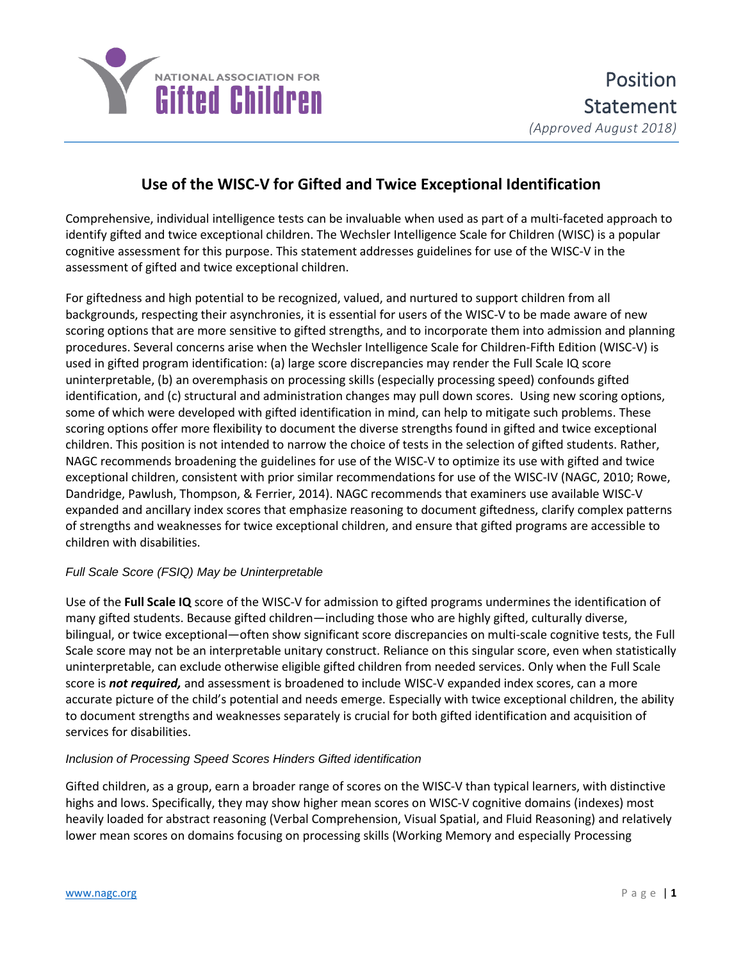

# **Use of the WISC-V for Gifted and Twice Exceptional Identification**

Comprehensive, individual intelligence tests can be invaluable when used as part of a multi-faceted approach to identify gifted and twice exceptional children. The Wechsler Intelligence Scale for Children (WISC) is a popular cognitive assessment for this purpose. This statement addresses guidelines for use of the WISC-V in the assessment of gifted and twice exceptional children.

For giftedness and high potential to be recognized, valued, and nurtured to support children from all backgrounds, respecting their asynchronies, it is essential for users of the WISC-V to be made aware of new scoring options that are more sensitive to gifted strengths, and to incorporate them into admission and planning procedures. Several concerns arise when the Wechsler Intelligence Scale for Children-Fifth Edition (WISC-V) is used in gifted program identification: (a) large score discrepancies may render the Full Scale IQ score uninterpretable, (b) an overemphasis on processing skills (especially processing speed) confounds gifted identification, and (c) structural and administration changes may pull down scores. Using new scoring options, some of which were developed with gifted identification in mind, can help to mitigate such problems. These scoring options offer more flexibility to document the diverse strengths found in gifted and twice exceptional children. This position is not intended to narrow the choice of tests in the selection of gifted students. Rather, NAGC recommends broadening the guidelines for use of the WISC-V to optimize its use with gifted and twice exceptional children, consistent with prior similar recommendations for use of the WISC-IV (NAGC, 2010; Rowe, Dandridge, Pawlush, Thompson, & Ferrier, 2014). NAGC recommends that examiners use available WISC-V expanded and ancillary index scores that emphasize reasoning to document giftedness, clarify complex patterns of strengths and weaknesses for twice exceptional children, and ensure that gifted programs are accessible to children with disabilities.

### *Full Scale Score (FSIQ) May be Uninterpretable*

Use of the **Full Scale IQ** score of the WISC-V for admission to gifted programs undermines the identification of many gifted students. Because gifted children—including those who are highly gifted, culturally diverse, bilingual, or twice exceptional—often show significant score discrepancies on multi-scale cognitive tests, the Full Scale score may not be an interpretable unitary construct. Reliance on this singular score, even when statistically uninterpretable, can exclude otherwise eligible gifted children from needed services. Only when the Full Scale score is *not required,* and assessment is broadened to include WISC-V expanded index scores, can a more accurate picture of the child's potential and needs emerge. Especially with twice exceptional children, the ability to document strengths and weaknesses separately is crucial for both gifted identification and acquisition of services for disabilities.

### *Inclusion of Processing Speed Scores Hinders Gifted identification*

Gifted children, as a group, earn a broader range of scores on the WISC-V than typical learners, with distinctive highs and lows. Specifically, they may show higher mean scores on WISC-V cognitive domains (indexes) most heavily loaded for abstract reasoning (Verbal Comprehension, Visual Spatial, and Fluid Reasoning) and relatively lower mean scores on domains focusing on processing skills (Working Memory and especially Processing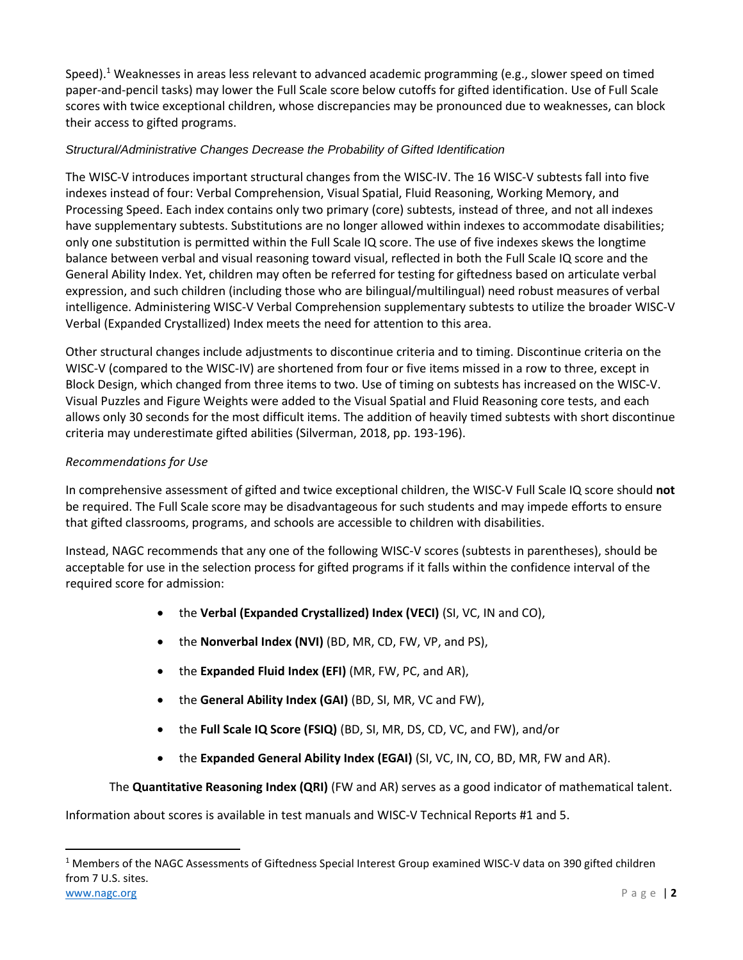Speed).<sup>1</sup> Weaknesses in areas less relevant to advanced academic programming (e.g., slower speed on timed paper-and-pencil tasks) may lower the Full Scale score below cutoffs for gifted identification. Use of Full Scale scores with twice exceptional children, whose discrepancies may be pronounced due to weaknesses, can block their access to gifted programs.

## *Structural/Administrative Changes Decrease the Probability of Gifted Identification*

The WISC-V introduces important structural changes from the WISC-IV. The 16 WISC-V subtests fall into five indexes instead of four: Verbal Comprehension, Visual Spatial, Fluid Reasoning, Working Memory, and Processing Speed. Each index contains only two primary (core) subtests, instead of three, and not all indexes have supplementary subtests. Substitutions are no longer allowed within indexes to accommodate disabilities; only one substitution is permitted within the Full Scale IQ score. The use of five indexes skews the longtime balance between verbal and visual reasoning toward visual, reflected in both the Full Scale IQ score and the General Ability Index. Yet, children may often be referred for testing for giftedness based on articulate verbal expression, and such children (including those who are bilingual/multilingual) need robust measures of verbal intelligence. Administering WISC-V Verbal Comprehension supplementary subtests to utilize the broader WISC-V Verbal (Expanded Crystallized) Index meets the need for attention to this area.

Other structural changes include adjustments to discontinue criteria and to timing. Discontinue criteria on the WISC-V (compared to the WISC-IV) are shortened from four or five items missed in a row to three, except in Block Design, which changed from three items to two. Use of timing on subtests has increased on the WISC-V. Visual Puzzles and Figure Weights were added to the Visual Spatial and Fluid Reasoning core tests, and each allows only 30 seconds for the most difficult items. The addition of heavily timed subtests with short discontinue criteria may underestimate gifted abilities (Silverman, 2018, pp. 193-196).

# *Recommendations for Use*

In comprehensive assessment of gifted and twice exceptional children, the WISC-V Full Scale IQ score should **not** be required. The Full Scale score may be disadvantageous for such students and may impede efforts to ensure that gifted classrooms, programs, and schools are accessible to children with disabilities.

Instead, NAGC recommends that any one of the following WISC-V scores (subtests in parentheses), should be acceptable for use in the selection process for gifted programs if it falls within the confidence interval of the required score for admission:

- the **Verbal (Expanded Crystallized) Index (VECI)** (SI, VC, IN and CO),
- the **Nonverbal Index (NVI)** (BD, MR, CD, FW, VP, and PS),
- the **Expanded Fluid Index (EFI)** (MR, FW, PC, and AR),
- the **General Ability Index (GAI)** (BD, SI, MR, VC and FW),
- the **Full Scale IQ Score (FSIQ)** (BD, SI, MR, DS, CD, VC, and FW), and/or
- the **Expanded General Ability Index (EGAI)** (SI, VC, IN, CO, BD, MR, FW and AR).

The **Quantitative Reasoning Index (QRI)** (FW and AR) serves as a good indicator of mathematical talent.

Information about scores is available in test manuals and WISC-V Technical Reports #1 and 5.

 $\overline{a}$ 

[www.nagc.org](http://www.nagc.org/) P a g e | **2** <sup>1</sup> Members of the NAGC Assessments of Giftedness Special Interest Group examined WISC-V data on 390 gifted children from 7 U.S. sites.